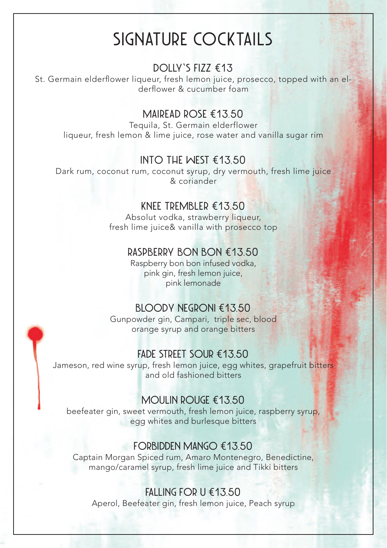# **SIGNATURE COCKTAILS**

## **DOLLY'S FIZZ €13**

St. Germain elderflower liqueur, fresh lemon juice, prosecco, topped with an elderflower & cucumber foam

## **MAIREAD ROSE €1 3.50**

Tequila, St. Germain elderflower liqueur, fresh lemon & lime juice, rose water and vanilla sugar rim

### **INTO THE WEST €13.50**

Dark rum, coconut rum, coconut syrup, dry vermouth, fresh lime juice & coriander

## **KNEE TREMBLER €13.50**

Absolut vodka, strawberry liqueur, fresh lime juice& vanilla with prosecco top

#### **RASPBERRY BON BON €13.50**

Raspberry bon bon infused vodka, pink gin, fresh lemon juice, pink lemonade

#### **BLOODY NEGRONI €13.50**

Gunpowder gin, Campari, triple sec, blood orange syrup and orange bitters

#### **FADE STREET SOUR €13.50**

Jameson, red wine syrup, fresh lemon juice, egg whites, grapefruit bitters and old fashioned bitters

## **MOULIN ROUGE €13.50**

beefeater gin, sweet vermouth, fresh lemon juice, raspberry syrup, egg whites and burlesque bitters

#### **FORBIDDEN MANGO €13.50**

Captain Morgan Spiced rum, Amaro Montenegro, Benedictine, mango/caramel syrup, fresh lime juice and Tikki bitters

#### **FALLING FOR U €13.50**

Aperol, Beefeater gin, fresh lemon juice, Peach syrup